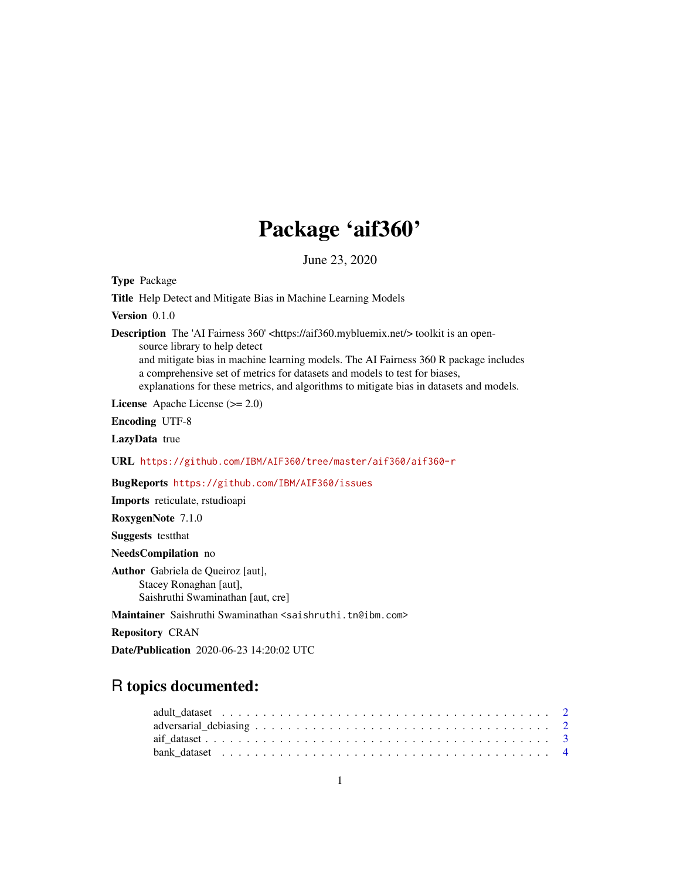## Package 'aif360'

June 23, 2020

Type Package

Title Help Detect and Mitigate Bias in Machine Learning Models

Version 0.1.0

Description The 'AI Fairness 360' <https://aif360.mybluemix.net/> toolkit is an open-

source library to help detect

and mitigate bias in machine learning models. The AI Fairness 360 R package includes a comprehensive set of metrics for datasets and models to test for biases, explanations for these metrics, and algorithms to mitigate bias in datasets and models.

License Apache License (>= 2.0)

Encoding UTF-8

LazyData true

URL <https://github.com/IBM/AIF360/tree/master/aif360/aif360-r>

BugReports <https://github.com/IBM/AIF360/issues>

Imports reticulate, rstudioapi

RoxygenNote 7.1.0

Suggests testthat

NeedsCompilation no

Author Gabriela de Queiroz [aut], Stacey Ronaghan [aut], Saishruthi Swaminathan [aut, cre]

Maintainer Saishruthi Swaminathan <saishruthi.tn@ibm.com>

Repository CRAN

Date/Publication 2020-06-23 14:20:02 UTC

### R topics documented:

| bank dataset $\ldots \ldots \ldots \ldots \ldots \ldots \ldots \ldots \ldots \ldots \ldots \ldots \ldots$ |  |
|-----------------------------------------------------------------------------------------------------------|--|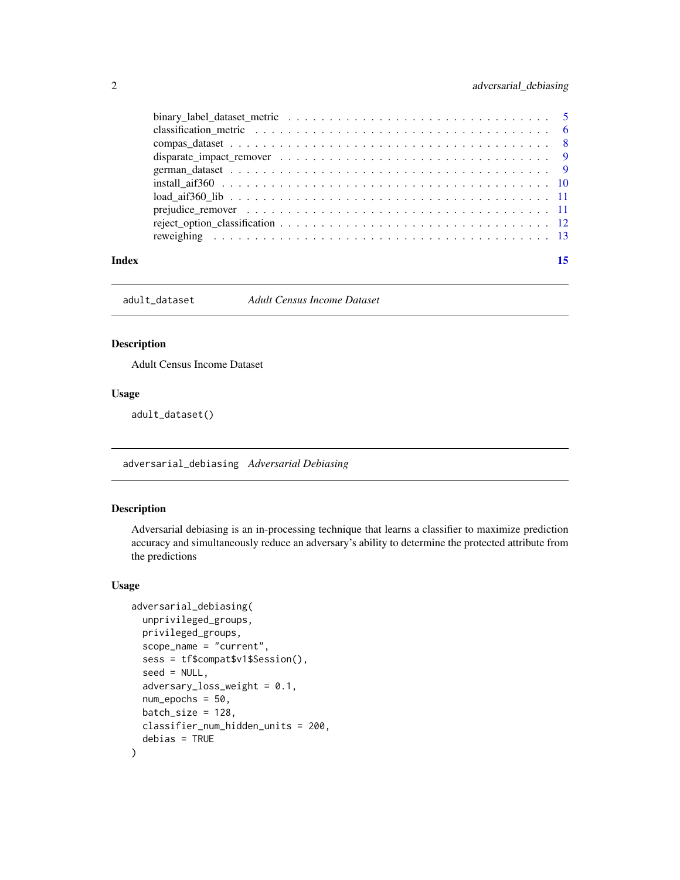<span id="page-1-0"></span>

|       | binary_label_dataset_metric $\ldots \ldots \ldots \ldots \ldots \ldots \ldots \ldots \ldots \ldots \ldots \ldots \ldots$ |  |
|-------|--------------------------------------------------------------------------------------------------------------------------|--|
|       | classification metric $\ldots \ldots \ldots \ldots \ldots \ldots \ldots \ldots \ldots \ldots \ldots \ldots$              |  |
|       |                                                                                                                          |  |
|       |                                                                                                                          |  |
|       |                                                                                                                          |  |
|       |                                                                                                                          |  |
|       |                                                                                                                          |  |
|       |                                                                                                                          |  |
|       |                                                                                                                          |  |
|       |                                                                                                                          |  |
| Index |                                                                                                                          |  |
|       |                                                                                                                          |  |

adult\_dataset *Adult Census Income Dataset*

#### Description

Adult Census Income Dataset

#### Usage

adult\_dataset()

adversarial\_debiasing *Adversarial Debiasing*

#### Description

Adversarial debiasing is an in-processing technique that learns a classifier to maximize prediction accuracy and simultaneously reduce an adversary's ability to determine the protected attribute from the predictions

#### Usage

```
adversarial_debiasing(
  unprivileged_groups,
  privileged_groups,
  scope_name = "current",
  sess = tf$compat$v1$Session(),
  seed = NULL,
  adversary_loss_weight = 0.1,
  num_epochs = 50,
 batch_size = 128,
  classifier_num_hidden_units = 200,
  debias = TRUE
)
```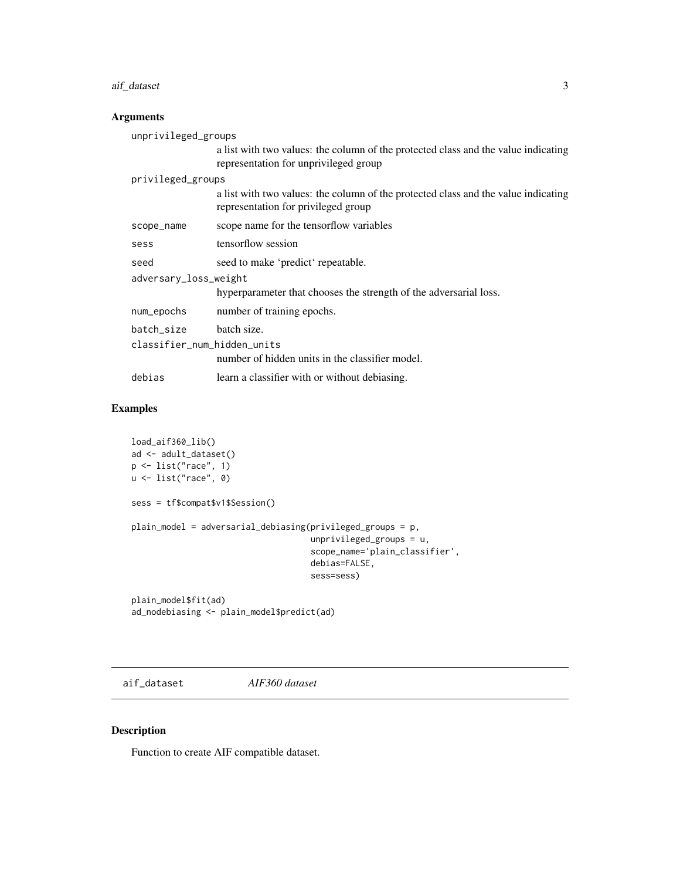#### <span id="page-2-0"></span>aif\_dataset 3

#### Arguments

|                             | unprivileged_groups   |                                                                                                                             |
|-----------------------------|-----------------------|-----------------------------------------------------------------------------------------------------------------------------|
|                             |                       | a list with two values: the column of the protected class and the value indicating<br>representation for unprivileged group |
|                             | privileged_groups     |                                                                                                                             |
|                             |                       | a list with two values: the column of the protected class and the value indicating<br>representation for privileged group   |
|                             | scope_name            | scope name for the tensorflow variables                                                                                     |
|                             | sess                  | tensorflow session                                                                                                          |
|                             | seed                  | seed to make 'predict' repeatable.                                                                                          |
|                             | adversary_loss_weight |                                                                                                                             |
|                             |                       | hyperparameter that chooses the strength of the adversarial loss.                                                           |
|                             | num_epochs            | number of training epochs.                                                                                                  |
|                             | batch size            | batch size.                                                                                                                 |
| classifier num hidden units |                       |                                                                                                                             |
|                             |                       | number of hidden units in the classifier model.                                                                             |
|                             | debias                | learn a classifier with or without debiasing.                                                                               |
|                             |                       |                                                                                                                             |

#### Examples

```
load_aif360_lib()
ad <- adult_dataset()
p <- list("race", 1)
u <- list("race", 0)
sess = tf$compat$v1$Session()
plain_model = adversarial_debiasing(privileged_groups = p,
                                    unprivileged_groups = u,
                                    scope_name='plain_classifier',
                                    debias=FALSE,
                                    sess=sess)
```
plain\_model\$fit(ad) ad\_nodebiasing <- plain\_model\$predict(ad)

aif\_dataset *AIF360 dataset*

#### Description

Function to create AIF compatible dataset.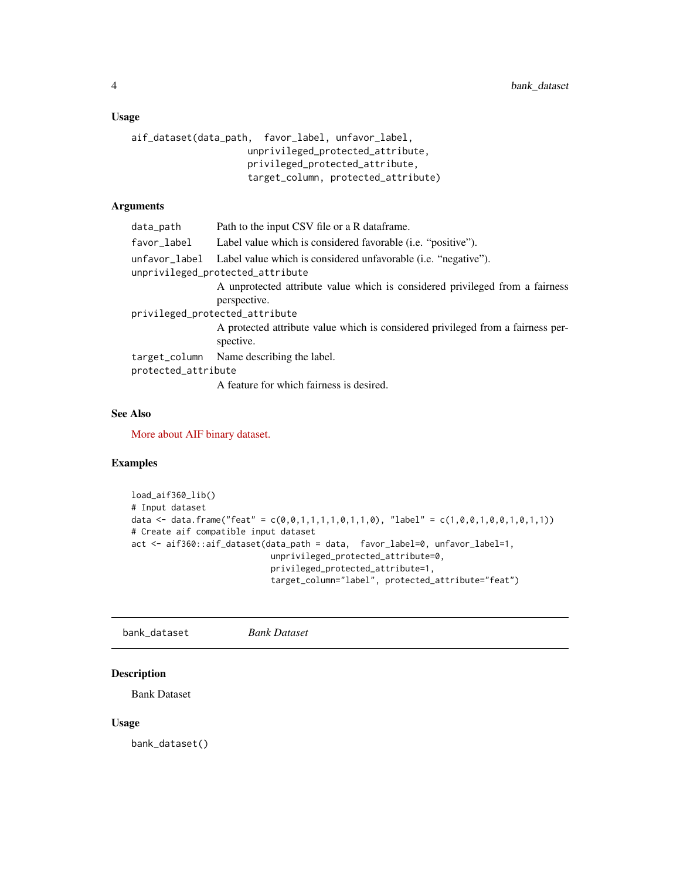#### <span id="page-3-0"></span>Usage

```
aif_dataset(data_path, favor_label, unfavor_label,
                     unprivileged_protected_attribute,
                     privileged_protected_attribute,
                     target_column, protected_attribute)
```
#### Arguments

| data_path           | Path to the input CSV file or a R data frame.                                                                    |
|---------------------|------------------------------------------------------------------------------------------------------------------|
| favor_label         | Label value which is considered favorable ( <i>i.e.</i> "positive").                                             |
|                     | unfavor_label Label value which is considered unfavorable (i.e. "negative").<br>unprivileged_protected_attribute |
|                     | A unprotected attribute value which is considered privileged from a fairness<br>perspective.                     |
|                     | privileged_protected_attribute                                                                                   |
|                     | A protected attribute value which is considered privileged from a fairness per-<br>spective.                     |
|                     | target_column Name describing the label.                                                                         |
| protected_attribute |                                                                                                                  |
|                     | A feature for which fairness is desired.                                                                         |

#### See Also

[More about AIF binary dataset.](https://aif360.readthedocs.io/en/latest/modules/datasets.html#binary-label-dataset)

#### Examples

```
load_aif360_lib()
# Input dataset
data <- data.frame("feat" = c(\emptyset, \emptyset, 1, 1, 1, 1, \emptyset, 1, 1, \emptyset), "label" = c(1, \emptyset, \emptyset, 1, \emptyset, \emptyset, 1, \emptyset, 1, 1))# Create aif compatible input dataset
act <- aif360::aif_dataset(data_path = data, favor_label=0, unfavor_label=1,
                                   unprivileged_protected_attribute=0,
                                   privileged_protected_attribute=1,
                                   target_column="label", protected_attribute="feat")
```
bank\_dataset *Bank Dataset*

#### Description

Bank Dataset

#### Usage

bank\_dataset()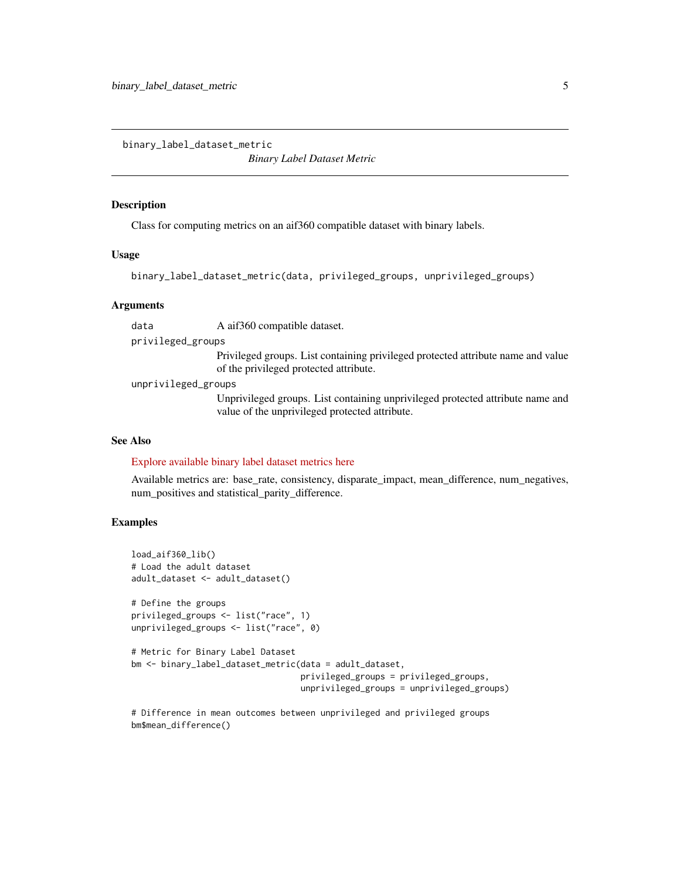<span id="page-4-0"></span>binary\_label\_dataset\_metric

*Binary Label Dataset Metric*

#### **Description**

Class for computing metrics on an aif360 compatible dataset with binary labels.

#### Usage

```
binary_label_dataset_metric(data, privileged_groups, unprivileged_groups)
```
#### Arguments

data A aif360 compatible dataset.

privileged\_groups

Privileged groups. List containing privileged protected attribute name and value of the privileged protected attribute.

unprivileged\_groups

Unprivileged groups. List containing unprivileged protected attribute name and value of the unprivileged protected attribute.

#### See Also

#### [Explore available binary label dataset metrics here](https://aif360.readthedocs.io/en/latest/modules/metrics.html#aif360.metrics.BinaryLabelDatasetMetric)

Available metrics are: base\_rate, consistency, disparate\_impact, mean\_difference, num\_negatives, num\_positives and statistical\_parity\_difference.

#### Examples

```
load_aif360_lib()
# Load the adult dataset
adult_dataset <- adult_dataset()
# Define the groups
privileged_groups <- list("race", 1)
unprivileged_groups <- list("race", 0)
# Metric for Binary Label Dataset
bm <- binary_label_dataset_metric(data = adult_dataset,
                                  privileged_groups = privileged_groups,
                                  unprivileged_groups = unprivileged_groups)
```
# Difference in mean outcomes between unprivileged and privileged groups bm\$mean\_difference()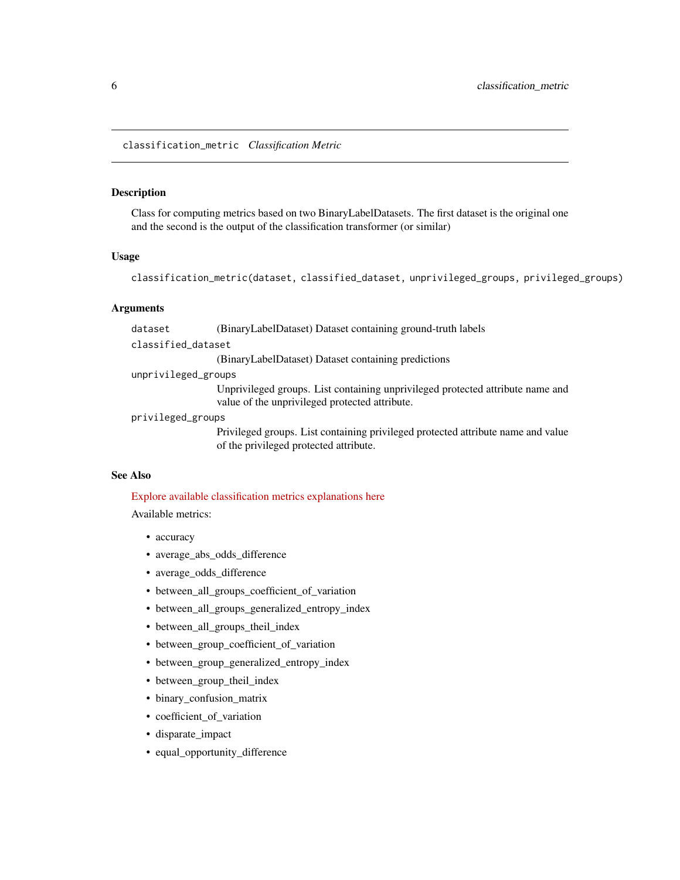<span id="page-5-0"></span>classification\_metric *Classification Metric*

#### Description

Class for computing metrics based on two BinaryLabelDatasets. The first dataset is the original one and the second is the output of the classification transformer (or similar)

#### Usage

```
classification_metric(dataset, classified_dataset, unprivileged_groups, privileged_groups)
```
#### Arguments

dataset (BinaryLabelDataset) Dataset containing ground-truth labels

classified\_dataset

(BinaryLabelDataset) Dataset containing predictions

unprivileged\_groups

Unprivileged groups. List containing unprivileged protected attribute name and value of the unprivileged protected attribute.

#### privileged\_groups

Privileged groups. List containing privileged protected attribute name and value of the privileged protected attribute.

#### See Also

#### [Explore available classification metrics explanations here](https://aif360.readthedocs.io/en/latest/modules/metrics.html#classification-metric)

Available metrics:

- accuracy
- average\_abs\_odds\_difference
- average\_odds\_difference
- between\_all\_groups\_coefficient\_of\_variation
- between\_all\_groups\_generalized\_entropy\_index
- between\_all\_groups\_theil\_index
- between\_group\_coefficient\_of\_variation
- between\_group\_generalized\_entropy\_index
- between\_group\_theil\_index
- binary\_confusion\_matrix
- coefficient\_of\_variation
- disparate\_impact
- equal\_opportunity\_difference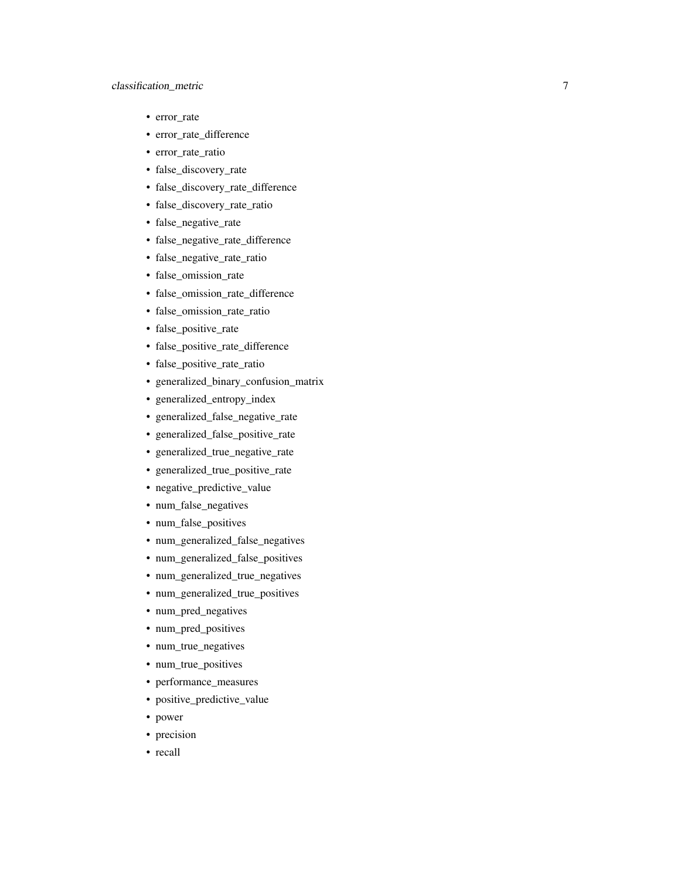#### classification\_metric

- error\_rate
- error\_rate\_difference
- error\_rate\_ratio
- false\_discovery\_rate
- false\_discovery\_rate\_difference
- false\_discovery\_rate\_ratio
- false\_negative\_rate
- false\_negative\_rate\_difference
- false\_negative\_rate\_ratio
- false\_omission\_rate
- false\_omission\_rate\_difference
- false\_omission\_rate\_ratio
- false\_positive\_rate
- false\_positive\_rate\_difference
- false\_positive\_rate\_ratio
- generalized\_binary\_confusion\_matrix
- generalized\_entropy\_index
- generalized\_false\_negative\_rate
- generalized\_false\_positive\_rate
- generalized\_true\_negative\_rate
- generalized\_true\_positive\_rate
- negative\_predictive\_value
- num\_false\_negatives
- num\_false\_positives
- num\_generalized\_false\_negatives
- num\_generalized\_false\_positives
- num\_generalized\_true\_negatives
- num\_generalized\_true\_positives
- num\_pred\_negatives
- num\_pred\_positives
- num\_true\_negatives
- num\_true\_positives
- performance\_measures
- positive\_predictive\_value
- power
- precision
- recall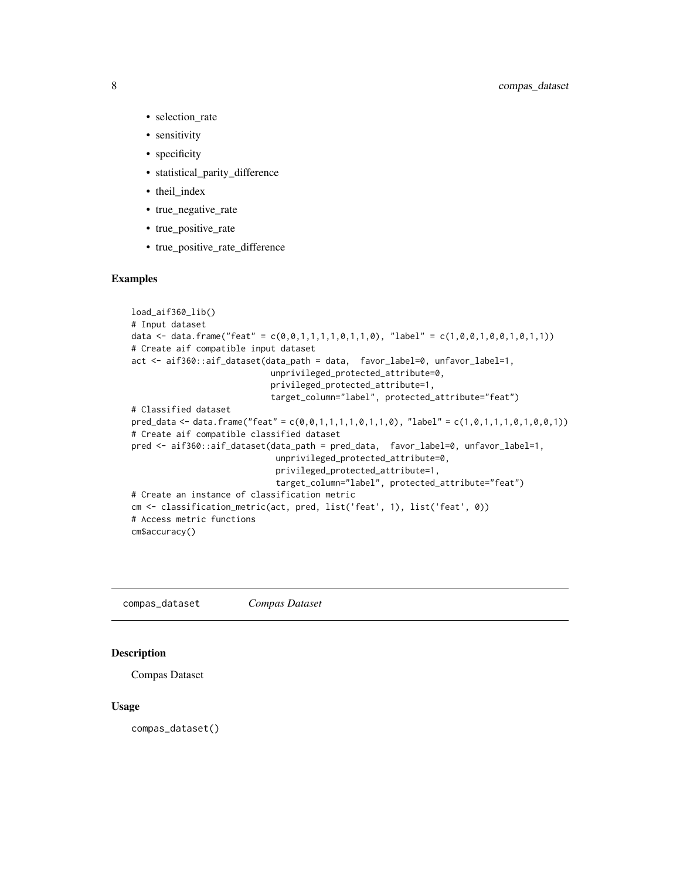- <span id="page-7-0"></span>• selection\_rate
- sensitivity
- specificity
- statistical parity difference
- theil\_index
- true\_negative\_rate
- true positive rate
- true\_positive\_rate\_difference

#### Examples

```
load_aif360_lib()
# Input dataset
data <- data.frame("feat" = c(\emptyset, \emptyset, 1, 1, 1, 1, \emptyset, 1, 1, \emptyset), "label" = c(1, \emptyset, \emptyset, 1, \emptyset, \emptyset, 1, \emptyset, 1, 1))# Create aif compatible input dataset
act <- aif360::aif_dataset(data_path = data, favor_label=0, unfavor_label=1,
                                unprivileged_protected_attribute=0,
                                privileged_protected_attribute=1,
                               target_column="label", protected_attribute="feat")
# Classified dataset
pred\_data \leq - data frame("feat" = c(0, 0, 1, 1, 1, 1, 0, 1, 1, 0), "label" = c(1, 0, 1, 1, 1, 0, 1, 0, 0, 1))# Create aif compatible classified dataset
pred <- aif360::aif_dataset(data_path = pred_data, favor_label=0, unfavor_label=1,
                                unprivileged_protected_attribute=0,
                                privileged_protected_attribute=1,
                                target_column="label", protected_attribute="feat")
# Create an instance of classification metric
cm <- classification_metric(act, pred, list('feat', 1), list('feat', 0))
# Access metric functions
cm$accuracy()
```
compas\_dataset *Compas Dataset*

#### Description

```
Compas Dataset
```
#### Usage

compas\_dataset()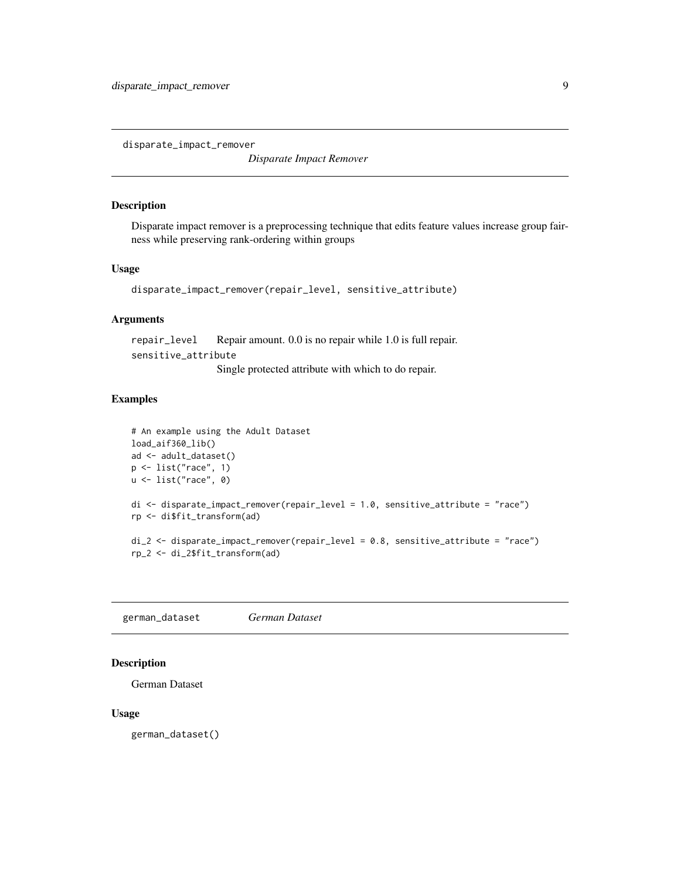<span id="page-8-0"></span>disparate\_impact\_remover

*Disparate Impact Remover*

#### Description

Disparate impact remover is a preprocessing technique that edits feature values increase group fairness while preserving rank-ordering within groups

#### Usage

```
disparate_impact_remover(repair_level, sensitive_attribute)
```
#### Arguments

repair\_level Repair amount. 0.0 is no repair while 1.0 is full repair. sensitive\_attribute

Single protected attribute with which to do repair.

#### Examples

```
# An example using the Adult Dataset
load_aif360_lib()
ad <- adult_dataset()
p <- list("race", 1)
u <- list("race", 0)
di <- disparate_impact_remover(repair_level = 1.0, sensitive_attribute = "race")
rp <- di$fit_transform(ad)
di_2 <- disparate_impact_remover(repair_level = 0.8, sensitive_attribute = "race")
rp_2 <- di_2$fit_transform(ad)
```
german\_dataset *German Dataset*

#### Description

German Dataset

#### Usage

german\_dataset()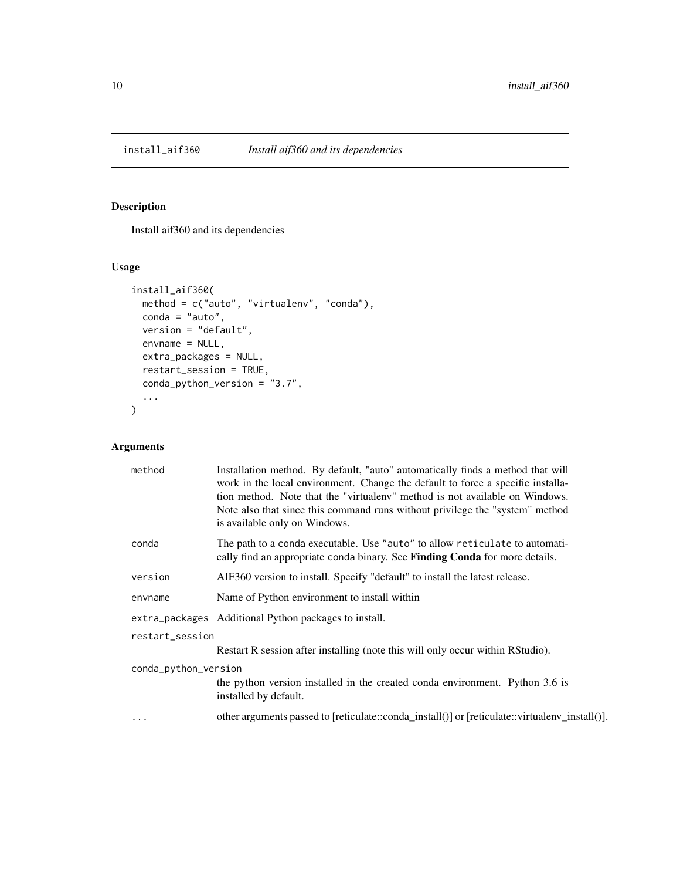<span id="page-9-0"></span>

#### Description

Install aif360 and its dependencies

#### Usage

```
install_aif360(
 method = c("auto", "virtualenv", "conda"),
 conda = "auto",version = "default",
 envname = NULL,
 extra_packages = NULL,
  restart_session = TRUE,
 conda_python_version = "3.7",
  ...
\mathcal{L}
```
#### Arguments

|                      | method   | Installation method. By default, "auto" automatically finds a method that will<br>work in the local environment. Change the default to force a specific installa-<br>tion method. Note that the "virtualeny" method is not available on Windows.<br>Note also that since this command runs without privilege the "system" method<br>is available only on Windows. |
|----------------------|----------|-------------------------------------------------------------------------------------------------------------------------------------------------------------------------------------------------------------------------------------------------------------------------------------------------------------------------------------------------------------------|
|                      | conda    | The path to a conda executable. Use "auto" to allow reticulate to automati-<br>cally find an appropriate conda binary. See <b>Finding Conda</b> for more details.                                                                                                                                                                                                 |
|                      | version  | AIF360 version to install. Specify "default" to install the latest release.                                                                                                                                                                                                                                                                                       |
|                      | envname  | Name of Python environment to install within                                                                                                                                                                                                                                                                                                                      |
|                      |          | extra_packages Additional Python packages to install.                                                                                                                                                                                                                                                                                                             |
| restart_session      |          |                                                                                                                                                                                                                                                                                                                                                                   |
|                      |          | Restart R session after installing (note this will only occur within RStudio).                                                                                                                                                                                                                                                                                    |
| conda_python_version |          |                                                                                                                                                                                                                                                                                                                                                                   |
|                      |          | the python version installed in the created conda environment. Python 3.6 is<br>installed by default.                                                                                                                                                                                                                                                             |
|                      | $\cdots$ | other arguments passed to [reticulate::conda_install()] or [reticulate::virtualenv_install()].                                                                                                                                                                                                                                                                    |
|                      |          |                                                                                                                                                                                                                                                                                                                                                                   |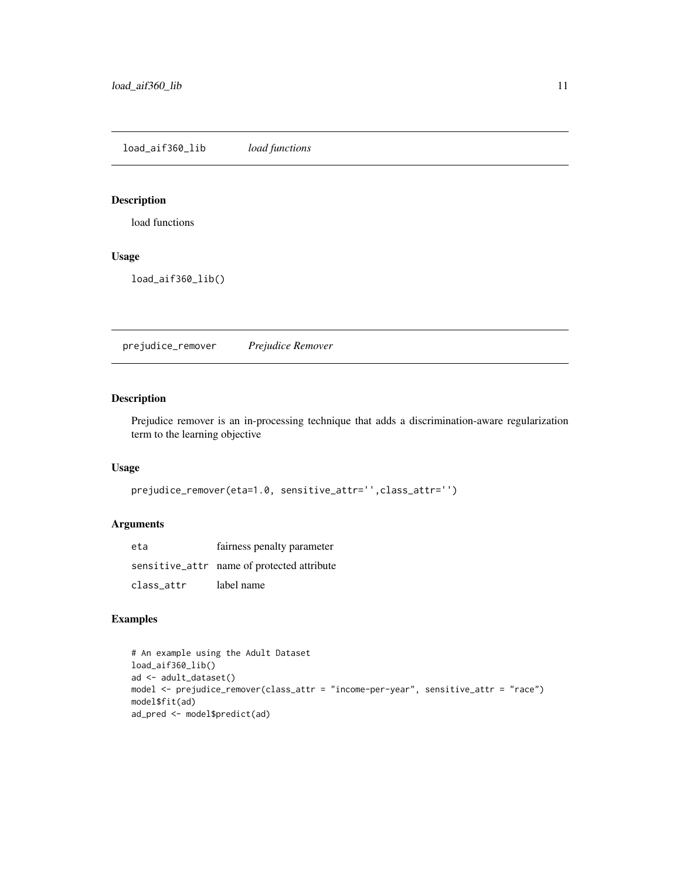<span id="page-10-0"></span>load\_aif360\_lib *load functions*

#### Description

load functions

#### Usage

load\_aif360\_lib()

prejudice\_remover *Prejudice Remover*

#### Description

Prejudice remover is an in-processing technique that adds a discrimination-aware regularization term to the learning objective

#### Usage

```
prejudice_remover(eta=1.0, sensitive_attr='',class_attr='')
```
#### Arguments

| eta        | fairness penalty parameter                 |
|------------|--------------------------------------------|
|            | sensitive_attr name of protected attribute |
| class attr | label name                                 |

#### Examples

```
# An example using the Adult Dataset
load_aif360_lib()
ad <- adult_dataset()
model <- prejudice_remover(class_attr = "income-per-year", sensitive_attr = "race")
model$fit(ad)
ad_pred <- model$predict(ad)
```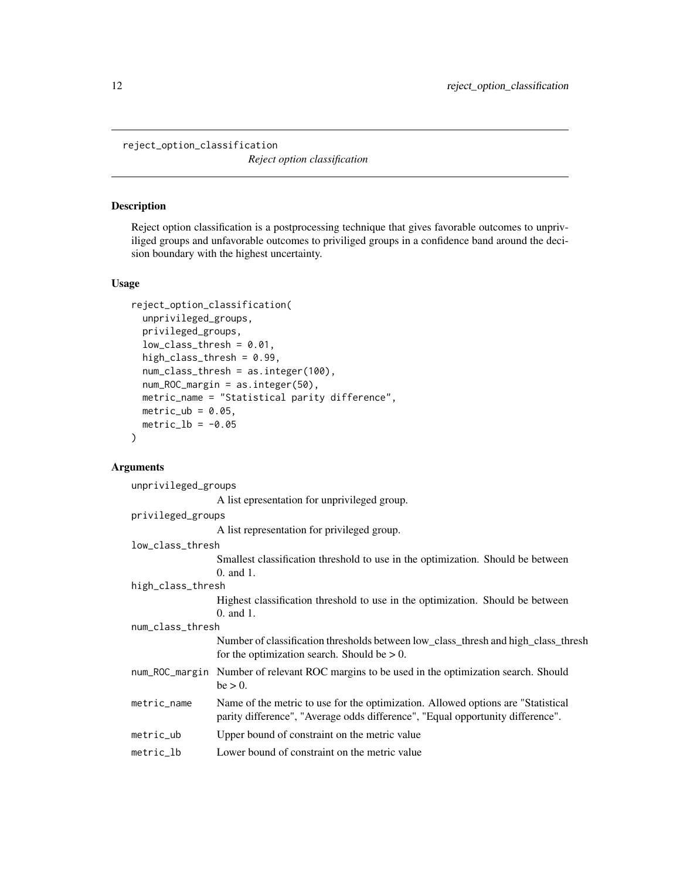<span id="page-11-0"></span>reject\_option\_classification

*Reject option classification*

#### Description

Reject option classification is a postprocessing technique that gives favorable outcomes to unpriviliged groups and unfavorable outcomes to priviliged groups in a confidence band around the decision boundary with the highest uncertainty.

#### Usage

```
reject_option_classification(
 unprivileged_groups,
 privileged_groups,
 low\_class\_thresh = 0.01,
 high_class_thresh = 0.99,
 num_class_thresh = as.integer(100),
 num_ROC_margin = as.integer(50),
 metric_name = "Statistical parity difference",
 metric_ub = 0.05,
 metric_lb = -0.05)
```
#### Arguments

| unprivileged_groups |                                                                                                                                                                    |  |
|---------------------|--------------------------------------------------------------------------------------------------------------------------------------------------------------------|--|
|                     | A list epresentation for unprivileged group.                                                                                                                       |  |
| privileged_groups   |                                                                                                                                                                    |  |
|                     | A list representation for privileged group.                                                                                                                        |  |
| low_class_thresh    |                                                                                                                                                                    |  |
|                     | Smallest classification threshold to use in the optimization. Should be between<br>$0.$ and $1.$                                                                   |  |
| high_class_thresh   |                                                                                                                                                                    |  |
|                     | Highest classification threshold to use in the optimization. Should be between<br>$0.$ and $1.$                                                                    |  |
| num_class_thresh    |                                                                                                                                                                    |  |
|                     | Number of classification thresholds between low_class_thresh and high_class_thresh<br>for the optimization search. Should be $> 0$ .                               |  |
|                     | num_ROC_margin Number of relevant ROC margins to be used in the optimization search. Should<br>$be > 0$ .                                                          |  |
| metric_name         | Name of the metric to use for the optimization. Allowed options are "Statistical<br>parity difference", "Average odds difference", "Equal opportunity difference". |  |
| $metric_$           | Upper bound of constraint on the metric value                                                                                                                      |  |
| metric_lb           | Lower bound of constraint on the metric value                                                                                                                      |  |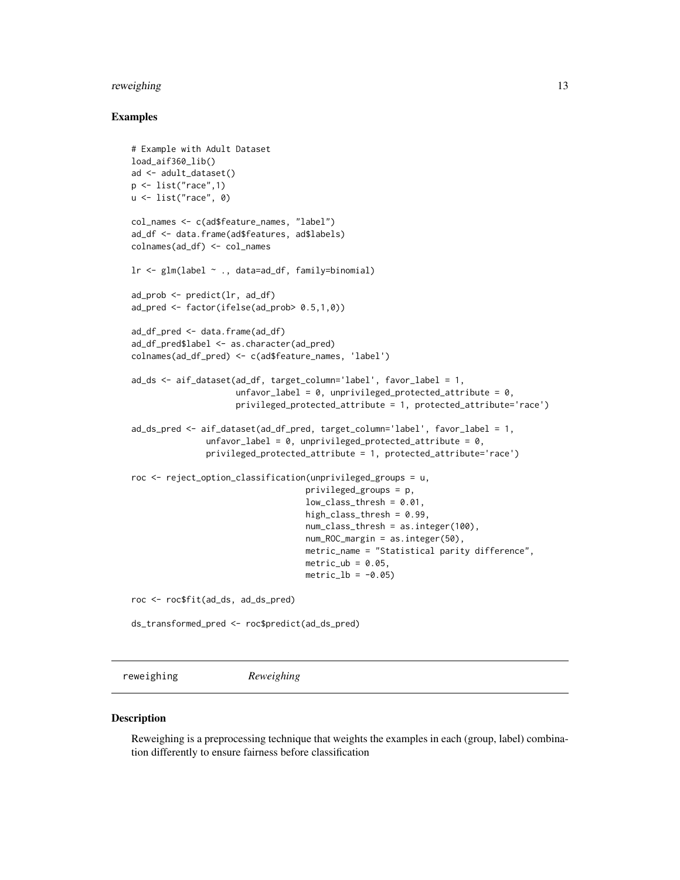#### <span id="page-12-0"></span>reweighing 13

#### Examples

```
# Example with Adult Dataset
load_aif360_lib()
ad <- adult_dataset()
p \leftarrow list("race", 1)
u <- list("race", 0)
col_names <- c(ad$feature_names, "label")
ad_df <- data.frame(ad$features, ad$labels)
colnames(ad_df) <- col_names
lr <- glm(label ~ ., data=ad_df, family=binomial)
ad_prob <- predict(lr, ad_df)
ad_pred <- factor(ifelse(ad_prob> 0.5,1,0))
ad_df_pred <- data.frame(ad_df)
ad_df_pred$label <- as.character(ad_pred)
colnames(ad_df_pred) <- c(ad$feature_names, 'label')
ad_ds <- aif_dataset(ad_df, target_column='label', favor_label = 1,
                     unfavor_label = 0, unprivileged_protected_attribute = 0,
                     privileged_protected_attribute = 1, protected_attribute='race')
ad_ds_pred <- aif_dataset(ad_df_pred, target_column='label', favor_label = 1,
               unfavor_label = 0, unprivileged_protected_attribute = 0,
               privileged_protected_attribute = 1, protected_attribute='race')
roc <- reject_option_classification(unprivileged_groups = u,
                                   privileged_groups = p,
                                   low\_class\_thresh = 0.01,
                                   high_class_thresh = 0.99,
                                   num_class_thresh = as.integer(100),
                                   num_ROC_margin = as.integer(50),
                                   metric_name = "Statistical parity difference",
                                   metric_ub = 0.05,
                                   metric_l = -0.05roc <- roc$fit(ad_ds, ad_ds_pred)
ds_transformed_pred <- roc$predict(ad_ds_pred)
```
reweighing *Reweighing*

#### **Description**

Reweighing is a preprocessing technique that weights the examples in each (group, label) combination differently to ensure fairness before classification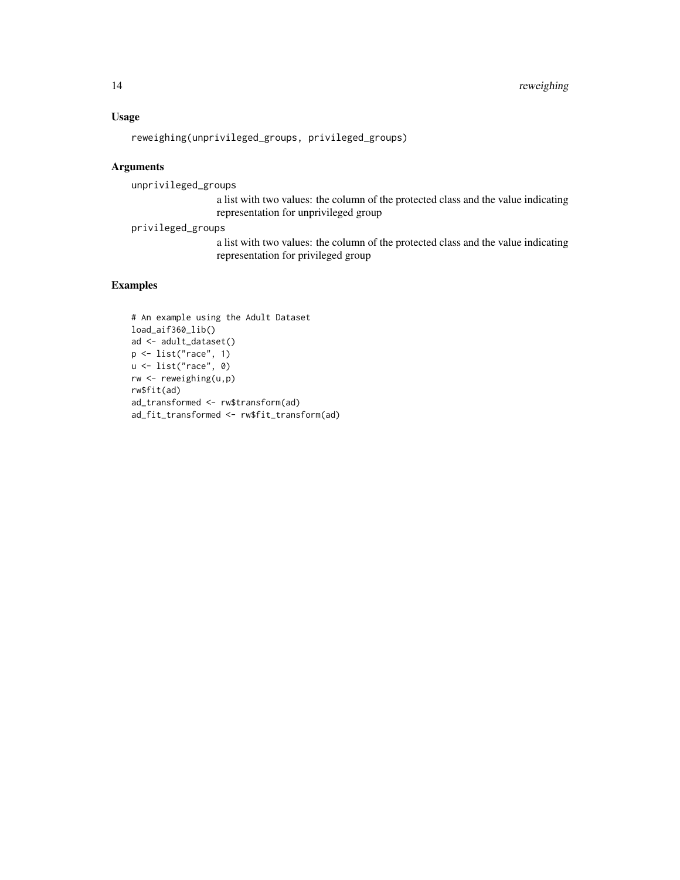#### Usage

reweighing(unprivileged\_groups, privileged\_groups)

#### Arguments

unprivileged\_groups

a list with two values: the column of the protected class and the value indicating representation for unprivileged group

privileged\_groups

a list with two values: the column of the protected class and the value indicating representation for privileged group

#### Examples

```
# An example using the Adult Dataset
load_aif360_lib()
ad <- adult_dataset()
p <- list("race", 1)
u <- list("race", 0)
rw <- reweighing(u,p)
rw$fit(ad)
ad_transformed <- rw$transform(ad)
ad_fit_transformed <- rw$fit_transform(ad)
```